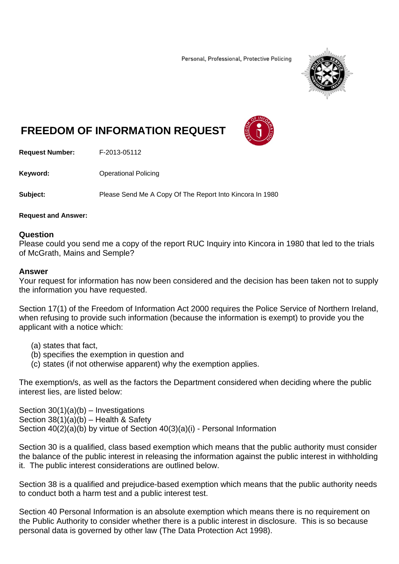Personal, Professional, Protective Policing



# **FREEDOM OF INFORMATION REQUEST**



**Request Number:** F-2013-05112

**Keyword: C**Derational Policing

**Subject:** Please Send Me A Copy Of The Report Into Kincora In 1980

**Request and Answer:** 

### **Question**

Please could you send me a copy of the report RUC Inquiry into Kincora in 1980 that led to the trials of McGrath, Mains and Semple?

#### **Answer**

Your request for information has now been considered and the decision has been taken not to supply the information you have requested.

Section 17(1) of the Freedom of Information Act 2000 requires the Police Service of Northern Ireland, when refusing to provide such information (because the information is exempt) to provide you the applicant with a notice which:

- (a) states that fact,
- (b) specifies the exemption in question and
- (c) states (if not otherwise apparent) why the exemption applies.

The exemption/s, as well as the factors the Department considered when deciding where the public interest lies, are listed below:

Section  $30(1)(a)(b)$  – Investigations Section 38(1)(a)(b) – Health & Safety Section 40(2)(a)(b) by virtue of Section 40(3)(a)(i) - Personal Information

Section 30 is a qualified, class based exemption which means that the public authority must consider the balance of the public interest in releasing the information against the public interest in withholding it. The public interest considerations are outlined below.

Section 38 is a qualified and prejudice-based exemption which means that the public authority needs to conduct both a harm test and a public interest test.

Section 40 Personal Information is an absolute exemption which means there is no requirement on the Public Authority to consider whether there is a public interest in disclosure. This is so because personal data is governed by other law (The Data Protection Act 1998).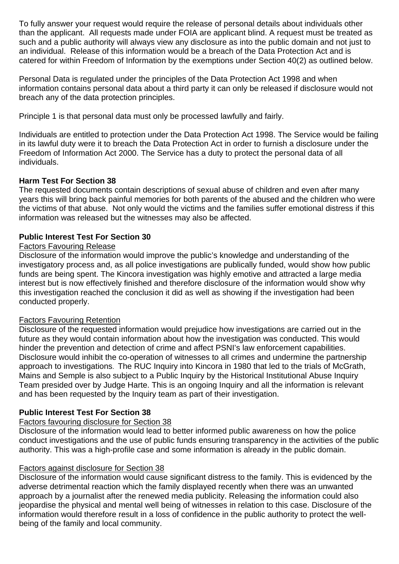To fully answer your request would require the release of personal details about individuals other than the applicant. All requests made under FOIA are applicant blind. A request must be treated as such and a public authority will always view any disclosure as into the public domain and not just to an individual. Release of this information would be a breach of the Data Protection Act and is catered for within Freedom of Information by the exemptions under Section 40(2) as outlined below.

Personal Data is regulated under the principles of the Data Protection Act 1998 and when information contains personal data about a third party it can only be released if disclosure would not breach any of the data protection principles.

Principle 1 is that personal data must only be processed lawfully and fairly.

Individuals are entitled to protection under the Data Protection Act 1998. The Service would be failing in its lawful duty were it to breach the Data Protection Act in order to furnish a disclosure under the Freedom of Information Act 2000. The Service has a duty to protect the personal data of all individuals.

# **Harm Test For Section 38**

The requested documents contain descriptions of sexual abuse of children and even after many years this will bring back painful memories for both parents of the abused and the children who were the victims of that abuse. Not only would the victims and the families suffer emotional distress if this information was released but the witnesses may also be affected.

# **Public Interest Test For Section 30**

### Factors Favouring Release

Disclosure of the information would improve the public's knowledge and understanding of the investigatory process and, as all police investigations are publically funded, would show how public funds are being spent. The Kincora investigation was highly emotive and attracted a large media interest but is now effectively finished and therefore disclosure of the information would show why this investigation reached the conclusion it did as well as showing if the investigation had been conducted properly.

# Factors Favouring Retention

Disclosure of the requested information would prejudice how investigations are carried out in the future as they would contain information about how the investigation was conducted. This would hinder the prevention and detection of crime and affect PSNI's law enforcement capabilities. Disclosure would inhibit the co-operation of witnesses to all crimes and undermine the partnership approach to investigations. The RUC Inquiry into Kincora in 1980 that led to the trials of McGrath, Mains and Semple is also subject to a Public Inquiry by the Historical Institutional Abuse Inquiry Team presided over by Judge Harte. This is an ongoing Inquiry and all the information is relevant and has been requested by the Inquiry team as part of their investigation.

# **Public Interest Test For Section 38**

# Factors favouring disclosure for Section 38

Disclosure of the information would lead to better informed public awareness on how the police conduct investigations and the use of public funds ensuring transparency in the activities of the public authority. This was a high-profile case and some information is already in the public domain.

### Factors against disclosure for Section 38

Disclosure of the information would cause significant distress to the family. This is evidenced by the adverse detrimental reaction which the family displayed recently when there was an unwanted approach by a journalist after the renewed media publicity. Releasing the information could also jeopardise the physical and mental well being of witnesses in relation to this case. Disclosure of the information would therefore result in a loss of confidence in the public authority to protect the wellbeing of the family and local community.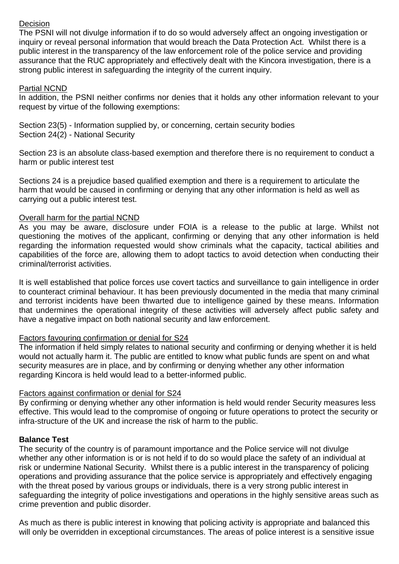# Decision

The PSNI will not divulge information if to do so would adversely affect an ongoing investigation or inquiry or reveal personal information that would breach the Data Protection Act. Whilst there is a public interest in the transparency of the law enforcement role of the police service and providing assurance that the RUC appropriately and effectively dealt with the Kincora investigation, there is a strong public interest in safeguarding the integrity of the current inquiry.

### Partial NCND

In addition, the PSNI neither confirms nor denies that it holds any other information relevant to your request by virtue of the following exemptions:

Section 23(5) - Information supplied by, or concerning, certain security bodies Section 24(2) - National Security

Section 23 is an absolute class-based exemption and therefore there is no requirement to conduct a harm or public interest test

Sections 24 is a prejudice based qualified exemption and there is a requirement to articulate the harm that would be caused in confirming or denying that any other information is held as well as carrying out a public interest test.

### Overall harm for the partial NCND

As you may be aware, disclosure under FOIA is a release to the public at large. Whilst not questioning the motives of the applicant, confirming or denying that any other information is held regarding the information requested would show criminals what the capacity, tactical abilities and capabilities of the force are, allowing them to adopt tactics to avoid detection when conducting their criminal/terrorist activities.

It is well established that police forces use covert tactics and surveillance to gain intelligence in order to counteract criminal behaviour. It has been previously documented in the media that many criminal and terrorist incidents have been thwarted due to intelligence gained by these means. Information that undermines the operational integrity of these activities will adversely affect public safety and have a negative impact on both national security and law enforcement.

# Factors favouring confirmation or denial for S24

The information if held simply relates to national security and confirming or denying whether it is held would not actually harm it. The public are entitled to know what public funds are spent on and what security measures are in place, and by confirming or denying whether any other information regarding Kincora is held would lead to a better-informed public.

### Factors against confirmation or denial for S24

By confirming or denying whether any other information is held would render Security measures less effective. This would lead to the compromise of ongoing or future operations to protect the security or infra-structure of the UK and increase the risk of harm to the public.

# **Balance Test**

The security of the country is of paramount importance and the Police service will not divulge whether any other information is or is not held if to do so would place the safety of an individual at risk or undermine National Security. Whilst there is a public interest in the transparency of policing operations and providing assurance that the police service is appropriately and effectively engaging with the threat posed by various groups or individuals, there is a very strong public interest in safeguarding the integrity of police investigations and operations in the highly sensitive areas such as crime prevention and public disorder.

As much as there is public interest in knowing that policing activity is appropriate and balanced this will only be overridden in exceptional circumstances. The areas of police interest is a sensitive issue